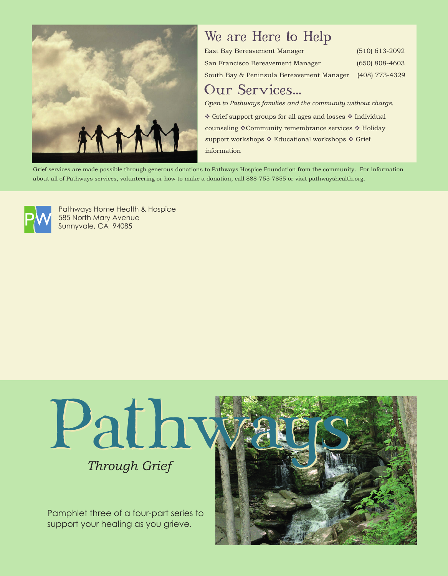

# We are Here to Help

| East Bay Bereavement Manager              | $(510)$ 613-2092 |
|-------------------------------------------|------------------|
| San Francisco Bereavement Manager         | $(650)$ 808-4603 |
| South Bay & Peninsula Bereavement Manager | (408) 773-4329   |

### Our Services...

*Open to Pathways families and the community without charge.*

Grief support groups for all ages and losses  $*$  Individual counseling \*Community remembrance services \* Holiday support workshops  $*$  Educational workshops  $*$  Grief information

Grief services are made possible through generous donations to Pathways Hospice Foundation from the community. For information about all of Pathways services, volunteering or how to make a donation, call 888-755-7855 or visit pathwayshealth.org.



Pathways Home Health & Hospice 585 North Mary Avenue Sunnyvale, CA 94085



Pamphlet three of a four-part series to support your healing as you grieve.